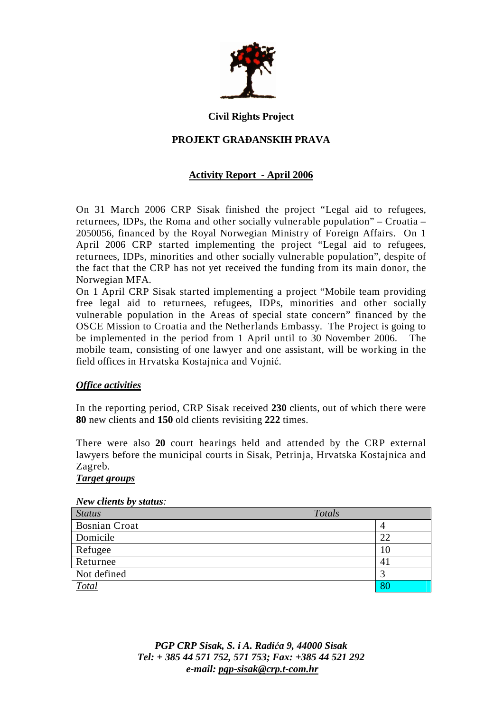

#### **Civil Rights Project**

# **PROJEKT GRA**ð**ANSKIH PRAVA**

# **Activity Report - April 2006**

On 31 March 2006 CRP Sisak finished the project "Legal aid to refugees, returnees, IDPs, the Roma and other socially vulnerable population" – Croatia – 2050056, financed by the Royal Norwegian Ministry of Foreign Affairs. On 1 April 2006 CRP started implementing the project "Legal aid to refugees, returnees, IDPs, minorities and other socially vulnerable population", despite of the fact that the CRP has not yet received the funding from its main donor, the Norwegian MFA.

On 1 April CRP Sisak started implementing a project "Mobile team providing free legal aid to returnees, refugees, IDPs, minorities and other socially vulnerable population in the Areas of special state concern" financed by the OSCE Mission to Croatia and the Netherlands Embassy. The Project is going to be implemented in the period from 1 April until to 30 November 2006. The mobile team, consisting of one lawyer and one assistant, will be working in the field offices in Hrvatska Kostajnica and Vojnić.

## *Office activities*

In the reporting period, CRP Sisak received **230** clients, out of which there were **80** new clients and **150** old clients revisiting **222** times.

There were also **20** court hearings held and attended by the CRP external lawyers before the municipal courts in Sisak, Petrinja, Hrvatska Kostajnica and Zagreb.

# *Target groups*

#### *New clients by status:*

| <b>Status</b>        | Totals |    |
|----------------------|--------|----|
| <b>Bosnian Croat</b> |        |    |
| Domicile             |        | 22 |
| Refugee              |        | 10 |
| Returnee             |        | 41 |
| Not defined          |        |    |
| Total                |        | 80 |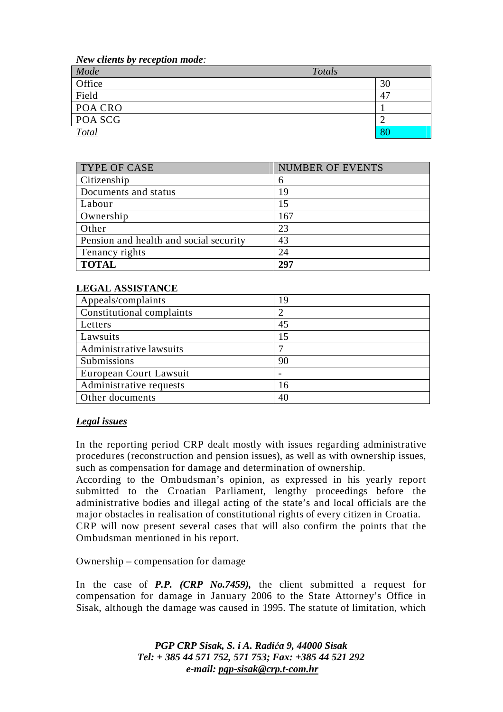*New clients by reception mode:* 

| Mode         | Totals |    |
|--------------|--------|----|
| Office       |        | 30 |
| Field        |        | 47 |
| POA CRO      |        |    |
| POA SCG      |        |    |
| <b>Total</b> |        | 80 |

| TYPE OF CASE                           | <b>NUMBER OF EVENTS</b> |
|----------------------------------------|-------------------------|
| Citizenship                            | 6                       |
| Documents and status                   | 19                      |
| Labour                                 | 15                      |
| Ownership                              | 167                     |
| Other                                  | 23                      |
| Pension and health and social security | 43                      |
| Tenancy rights                         | 24                      |
| <b>TOTAL</b>                           | 297                     |

# **LEGAL ASSISTANCE**

| Appeals/complaints        | 19 |
|---------------------------|----|
| Constitutional complaints |    |
| Letters                   | 45 |
| Lawsuits                  | 15 |
| Administrative lawsuits   |    |
| Submissions               | 90 |
| European Court Lawsuit    |    |
| Administrative requests   | 16 |
| Other documents           | 40 |

## *Legal issues*

In the reporting period CRP dealt mostly with issues regarding administrative procedures (reconstruction and pension issues), as well as with ownership issues, such as compensation for damage and determination of ownership.

According to the Ombudsman's opinion, as expressed in his yearly report submitted to the Croatian Parliament, lengthy proceedings before the administrative bodies and illegal acting of the state's and local officials are the major obstacles in realisation of constitutional rights of every citizen in Croatia. CRP will now present several cases that will also confirm the points that the Ombudsman mentioned in his report.

## Ownership – compensation for damage

In the case of *P.P. (CRP No.7459),* the client submitted a request for compensation for damage in January 2006 to the State Attorney's Office in Sisak, although the damage was caused in 1995. The statute of limitation, which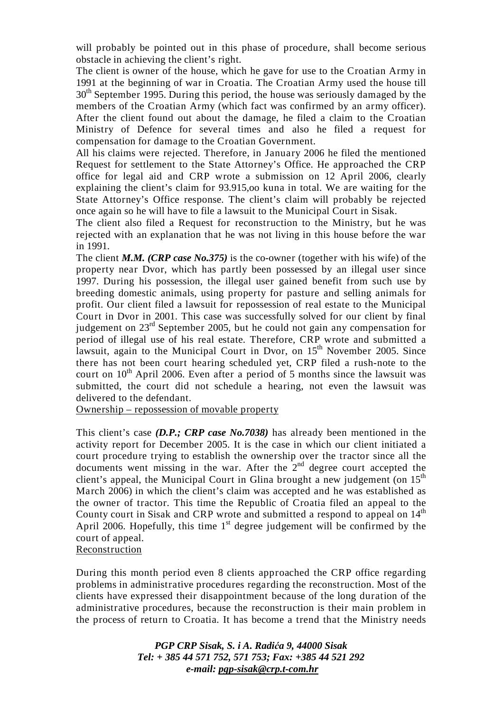will probably be pointed out in this phase of procedure, shall become serious obstacle in achieving the client's right.

The client is owner of the house, which he gave for use to the Croatian Army in 1991 at the beginning of war in Croatia. The Croatian Army used the house till 30<sup>th</sup> September 1995. During this period, the house was seriously damaged by the members of the Croatian Army (which fact was confirmed by an army officer). After the client found out about the damage, he filed a claim to the Croatian Ministry of Defence for several times and also he filed a request for compensation for damage to the Croatian Government.

All his claims were rejected. Therefore, in January 2006 he filed the mentioned Request for settlement to the State Attorney's Office. He approached the CRP office for legal aid and CRP wrote a submission on 12 April 2006, clearly explaining the client's claim for 93.915,oo kuna in total. We are waiting for the State Attorney's Office response. The client's claim will probably be rejected once again so he will have to file a lawsuit to the Municipal Court in Sisak.

The client also filed a Request for reconstruction to the Ministry, but he was rejected with an explanation that he was not living in this house before the war in 1991.

The client *M.M. (CRP case No.375)* is the co-owner (together with his wife) of the property near Dvor, which has partly been possessed by an illegal user since 1997. During his possession, the illegal user gained benefit from such use by breeding domestic animals, using property for pasture and selling animals for profit. Our client filed a lawsuit for repossession of real estate to the Municipal Court in Dvor in 2001. This case was successfully solved for our client by final judgement on 23rd September 2005, but he could not gain any compensation for period of illegal use of his real estate. Therefore, CRP wrote and submitted a lawsuit, again to the Municipal Court in Dvor, on 15<sup>th</sup> November 2005. Since there has not been court hearing scheduled yet, CRP filed a rush-note to the court on  $10^{th}$  April 2006. Even after a period of 5 months since the lawsuit was submitted, the court did not schedule a hearing, not even the lawsuit was delivered to the defendant.

Ownership – repossession of movable property

This client's case *(D.P.; CRP case No.7038)* has already been mentioned in the activity report for December 2005. It is the case in which our client initiated a court procedure trying to establish the ownership over the tractor since all the documents went missing in the war. After the  $2<sup>nd</sup>$  degree court accepted the client's appeal, the Municipal Court in Glina brought a new judgement (on  $15<sup>th</sup>$ March 2006) in which the client's claim was accepted and he was established as the owner of tractor. This time the Republic of Croatia filed an appeal to the County court in Sisak and CRP wrote and submitted a respond to appeal on  $14<sup>th</sup>$ April 2006. Hopefully, this time  $1<sup>st</sup>$  degree judgement will be confirmed by the court of appeal.

## Reconstruction

During this month period even 8 clients approached the CRP office regarding problems in administrative procedures regarding the reconstruction. Most of the clients have expressed their disappointment because of the long duration of the administrative procedures, because the reconstruction is their main problem in the process of return to Croatia. It has become a trend that the Ministry needs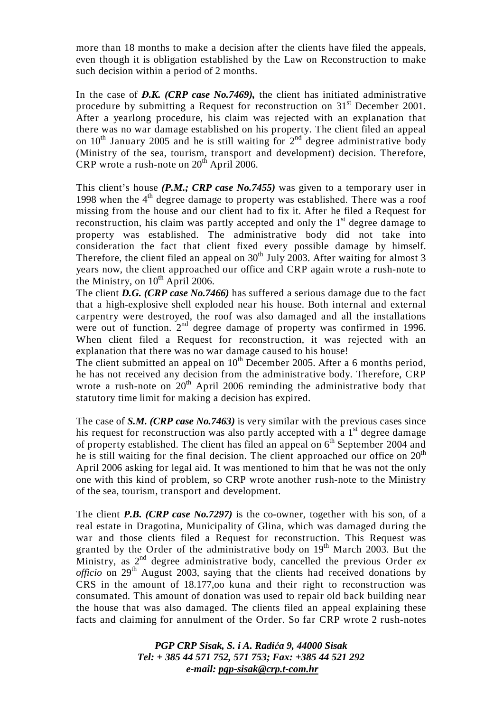more than 18 months to make a decision after the clients have filed the appeals, even though it is obligation established by the Law on Reconstruction to make such decision within a period of 2 months.

In the case of *D.K.* (CRP case No.7469), the client has initiated administrative procedure by submitting a Request for reconstruction on 31<sup>st</sup> December 2001. After a yearlong procedure, his claim was rejected with an explanation that there was no war damage established on his property. The client filed an appeal on  $10^{th}$  January 2005 and he is still waiting for  $2^{nd}$  degree administrative body (Ministry of the sea, tourism, transport and development) decision. Therefore, CRP wrote a rush-note on  $20<sup>th</sup>$  April 2006.

This client's house *(P.M.; CRP case No.7455)* was given to a temporary user in 1998 when the  $4<sup>th</sup>$  degree damage to property was established. There was a roof missing from the house and our client had to fix it. After he filed a Request for reconstruction, his claim was partly accepted and only the  $1<sup>st</sup>$  degree damage to property was established. The administrative body did not take into consideration the fact that client fixed every possible damage by himself. Therefore, the client filed an appeal on  $30<sup>th</sup>$  July 2003. After waiting for almost 3 years now, the client approached our office and CRP again wrote a rush-note to the Ministry, on  $10^{th}$  April 2006.

The client *D.G. (CRP case No.7466)* has suffered a serious damage due to the fact that a high-explosive shell exploded near his house. Both internal and external carpentry were destroyed, the roof was also damaged and all the installations were out of function. 2<sup>nd</sup> degree damage of property was confirmed in 1996. When client filed a Request for reconstruction, it was rejected with an explanation that there was no war damage caused to his house!

The client submitted an appeal on  $10^{th}$  December 2005. After a 6 months period, he has not received any decision from the administrative body. Therefore, CRP wrote a rush-note on  $20<sup>th</sup>$  April 2006 reminding the administrative body that statutory time limit for making a decision has expired.

The case of *S.M. (CRP case No.7463)* is very similar with the previous cases since his request for reconstruction was also partly accepted with a  $1<sup>st</sup>$  degree damage of property established. The client has filed an appeal on  $6<sup>th</sup>$  September 2004 and he is still waiting for the final decision. The client approached our office on 20<sup>th</sup> April 2006 asking for legal aid. It was mentioned to him that he was not the only one with this kind of problem, so CRP wrote another rush-note to the Ministry of the sea, tourism, transport and development.

The client *P.B. (CRP case No.7297)* is the co-owner, together with his son, of a real estate in Dragotina, Municipality of Glina, which was damaged during the war and those clients filed a Request for reconstruction. This Request was granted by the Order of the administrative body on  $19<sup>th</sup>$  March 2003. But the Ministry, as  $2^{nd}$  degree administrative body, cancelled the previous Order  $ex$ *officio* on 29<sup>th</sup> August 2003, saying that the clients had received donations by CRS in the amount of 18.177,oo kuna and their right to reconstruction was consumated. This amount of donation was used to repair old back building near the house that was also damaged. The clients filed an appeal explaining these facts and claiming for annulment of the Order. So far CRP wrote 2 rush-notes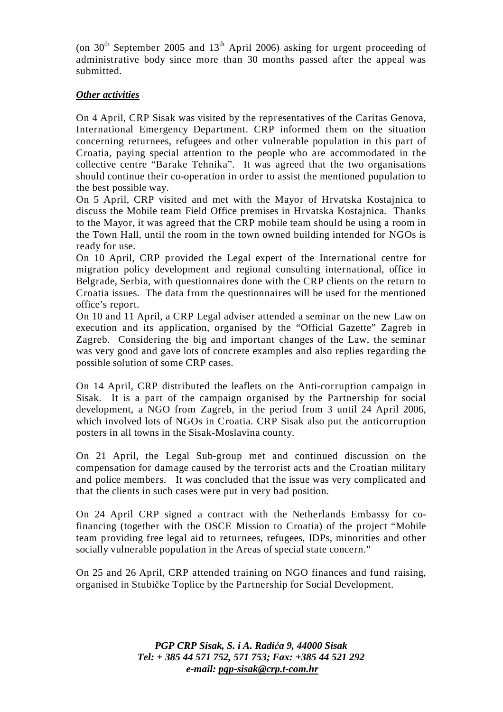(on  $30<sup>th</sup>$  September 2005 and  $13<sup>th</sup>$  April 2006) asking for urgent proceeding of administrative body since more than 30 months passed after the appeal was submitted.

# *Other activities*

On 4 April, CRP Sisak was visited by the representatives of the Caritas Genova, International Emergency Department. CRP informed them on the situation concerning returnees, refugees and other vulnerable population in this part of Croatia, paying special attention to the people who are accommodated in the collective centre "Barake Tehnika". It was agreed that the two organisations should continue their co-operation in order to assist the mentioned population to the best possible way.

On 5 April, CRP visited and met with the Mayor of Hrvatska Kostajnica to discuss the Mobile team Field Office premises in Hrvatska Kostajnica. Thanks to the Mayor, it was agreed that the CRP mobile team should be using a room in the Town Hall, until the room in the town owned building intended for NGOs is ready for use.

On 10 April, CRP provided the Legal expert of the International centre for migration policy development and regional consulting international, office in Belgrade, Serbia, with questionnaires done with the CRP clients on the return to Croatia issues. The data from the questionnaires will be used for the mentioned office's report.

On 10 and 11 April, a CRP Legal adviser attended a seminar on the new Law on execution and its application, organised by the "Official Gazette" Zagreb in Zagreb. Considering the big and important changes of the Law, the seminar was very good and gave lots of concrete examples and also replies regarding the possible solution of some CRP cases.

On 14 April, CRP distributed the leaflets on the Anti-corruption campaign in Sisak. It is a part of the campaign organised by the Partnership for social development, a NGO from Zagreb, in the period from 3 until 24 April 2006, which involved lots of NGOs in Croatia. CRP Sisak also put the anticorruption posters in all towns in the Sisak-Moslavina county.

On 21 April, the Legal Sub-group met and continued discussion on the compensation for damage caused by the terrorist acts and the Croatian military and police members. It was concluded that the issue was very complicated and that the clients in such cases were put in very bad position.

On 24 April CRP signed a contract with the Netherlands Embassy for cofinancing (together with the OSCE Mission to Croatia) of the project "Mobile team providing free legal aid to returnees, refugees, IDPs, minorities and other socially vulnerable population in the Areas of special state concern."

On 25 and 26 April, CRP attended training on NGO finances and fund raising, organised in Stubičke Toplice by the Partnership for Social Development.